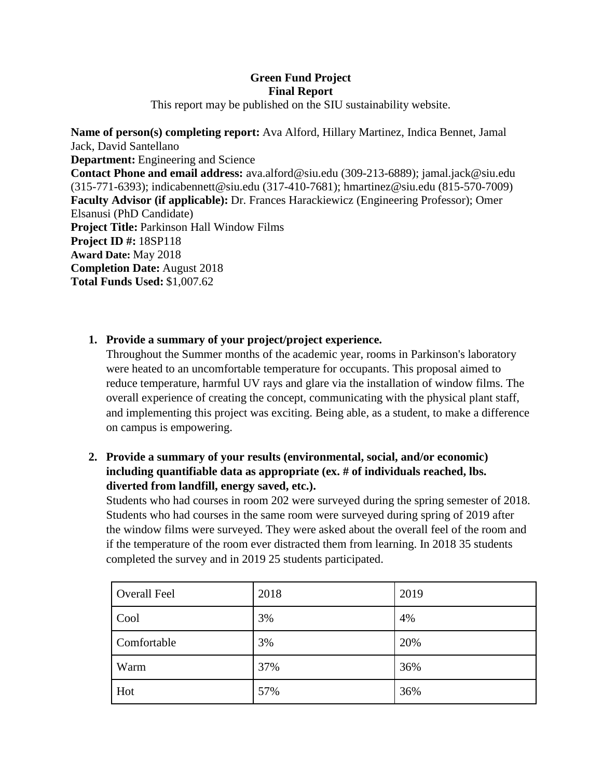## **Green Fund Project Final Report**

This report may be published on the SIU sustainability website.

**Name of person(s) completing report:** Ava Alford, Hillary Martinez, Indica Bennet, Jamal Jack, David Santellano **Department:** Engineering and Science **Contact Phone and email address:** [ava.alford@siu.edu](mailto:ava.alford@siu.edu) (309-213-6889); [jamal.jack@siu.edu](mailto:jamal.jack@siu.edu) (315-771-6393); indicabennett@siu.edu (317-410-7681); hmartinez@siu.edu (815-570-7009) **Faculty Advisor (if applicable):** Dr. Frances Harackiewicz (Engineering Professor); Omer Elsanusi (PhD Candidate) **Project Title:** Parkinson Hall Window Films **Project ID #:** 18SP118 **Award Date:** May 2018 **Completion Date:** August 2018 **Total Funds Used:** \$1,007.62

## **1. Provide a summary of your project/project experience.**

Throughout the Summer months of the academic year, rooms in Parkinson's laboratory were heated to an uncomfortable temperature for occupants. This proposal aimed to reduce temperature, harmful UV rays and glare via the installation of window films. The overall experience of creating the concept, communicating with the physical plant staff, and implementing this project was exciting. Being able, as a student, to make a difference on campus is empowering.

**2. Provide a summary of your results (environmental, social, and/or economic) including quantifiable data as appropriate (ex. # of individuals reached, lbs. diverted from landfill, energy saved, etc.).**

Students who had courses in room 202 were surveyed during the spring semester of 2018. Students who had courses in the same room were surveyed during spring of 2019 after the window films were surveyed. They were asked about the overall feel of the room and if the temperature of the room ever distracted them from learning. In 2018 35 students completed the survey and in 2019 25 students participated.

| <b>Overall Feel</b> | 2018 | 2019 |
|---------------------|------|------|
| Cool                | 3%   | 4%   |
| Comfortable         | 3%   | 20%  |
| Warm                | 37%  | 36%  |
| Hot                 | 57%  | 36%  |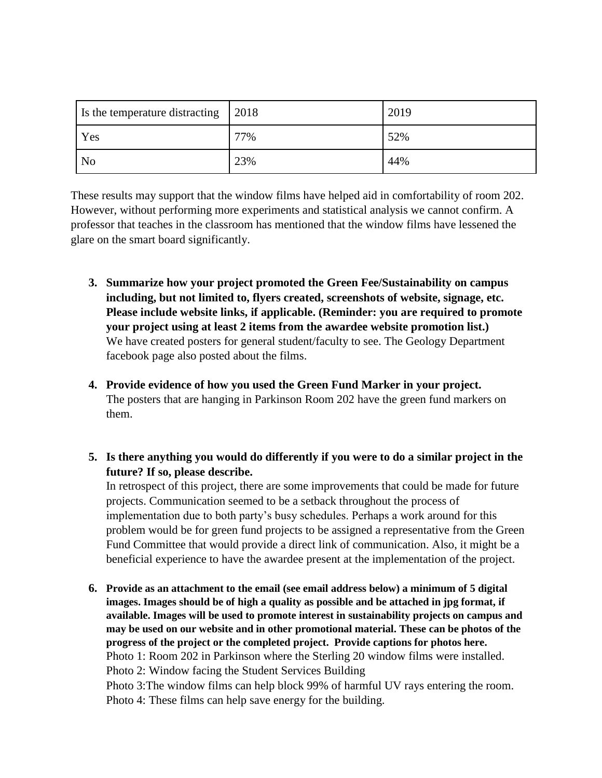| Is the temperature distracting | 2018 | 2019 |
|--------------------------------|------|------|
| Yes                            | 77%  | 52%  |
| N <sub>o</sub>                 | 23%  | 44%  |

These results may support that the window films have helped aid in comfortability of room 202. However, without performing more experiments and statistical analysis we cannot confirm. A professor that teaches in the classroom has mentioned that the window films have lessened the glare on the smart board significantly.

- **3. Summarize how your project promoted the Green Fee/Sustainability on campus including, but not limited to, flyers created, screenshots of website, signage, etc. Please include website links, if applicable. (Reminder: you are required to promote your project using at least 2 items from the awardee website promotion list.)** We have created posters for general student/faculty to see. The Geology Department facebook page also posted about the films.
- **4. Provide evidence of how you used the Green Fund Marker in your project.** The posters that are hanging in Parkinson Room 202 have the green fund markers on them.
- **5. Is there anything you would do differently if you were to do a similar project in the future? If so, please describe.**

In retrospect of this project, there are some improvements that could be made for future projects. Communication seemed to be a setback throughout the process of implementation due to both party's busy schedules. Perhaps a work around for this problem would be for green fund projects to be assigned a representative from the Green Fund Committee that would provide a direct link of communication. Also, it might be a beneficial experience to have the awardee present at the implementation of the project.

**6. Provide as an attachment to the email (see email address below) a minimum of 5 digital images. Images should be of high a quality as possible and be attached in jpg format, if available. Images will be used to promote interest in sustainability projects on campus and may be used on our website and in other promotional material. These can be photos of the progress of the project or the completed project. Provide captions for photos here.** Photo 1: Room 202 in Parkinson where the Sterling 20 window films were installed. Photo 2: Window facing the Student Services Building Photo 3:The window films can help block 99% of harmful UV rays entering the room. Photo 4: These films can help save energy for the building.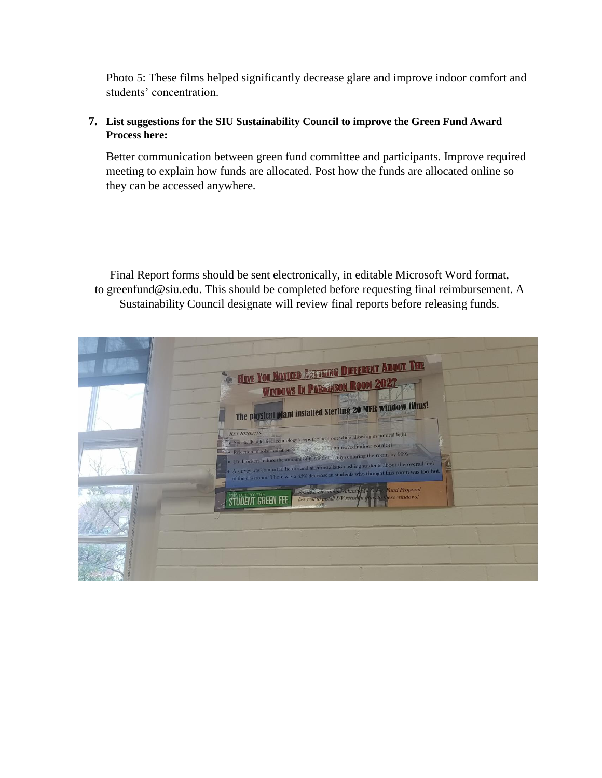Photo 5: These films helped significantly decrease glare and improve indoor comfort and students' concentration.

## **7. List suggestions for the SIU Sustainability Council to improve the Green Fund Award Process here:**

Better communication between green fund committee and participants. Improve required meeting to explain how funds are allocated. Post how the funds are allocated online so they can be accessed anywhere.

Final Report forms should be sent electronically, in editable Microsoft Word format, to [greenfund@siu.edu.](mailto:greenfund@siu.edu) This should be completed before requesting final reimbursement. A Sustainability Council designate will review final reports before releasing funds.

| <b>HAVE YOU NOTICED ANYTHING DIFFERENT ABOUT THE</b>                                                                                                                                                                                                                                                                                                                                                                                                                |
|---------------------------------------------------------------------------------------------------------------------------------------------------------------------------------------------------------------------------------------------------------------------------------------------------------------------------------------------------------------------------------------------------------------------------------------------------------------------|
| <b>WINDOWS IN PARKANSON ROOM 2027</b><br>The physical plant installed Sterling 20 MFR window films!                                                                                                                                                                                                                                                                                                                                                                 |
| <b>KEY BENEFITS:</b><br>Spectrally selective technology keeps the heat out while allowing in natural light<br>Rejection of solar radiation $\pi$ elements in improved indoor comfort-<br>• UV blockets reduce the amount of the office UV by entering the room by 99%<br>• A survey was conducted before and after installation asking students about the overall feel<br>of the classroom. There was a 45% decrease in students who thought this room was too hot. |
| Student off campus submited & Creen Fund Proposal<br><b>STUDENT GREEN FEE</b><br>last year to install UV resistant films to these windows!                                                                                                                                                                                                                                                                                                                          |
|                                                                                                                                                                                                                                                                                                                                                                                                                                                                     |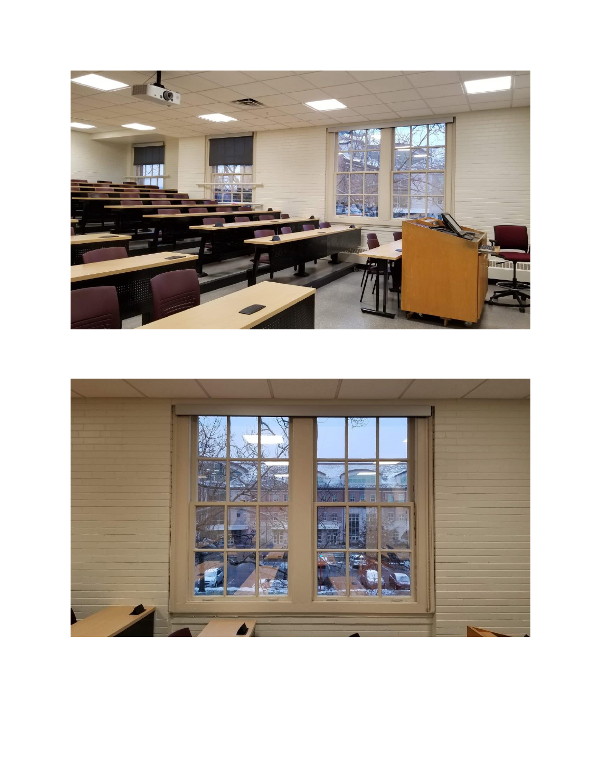